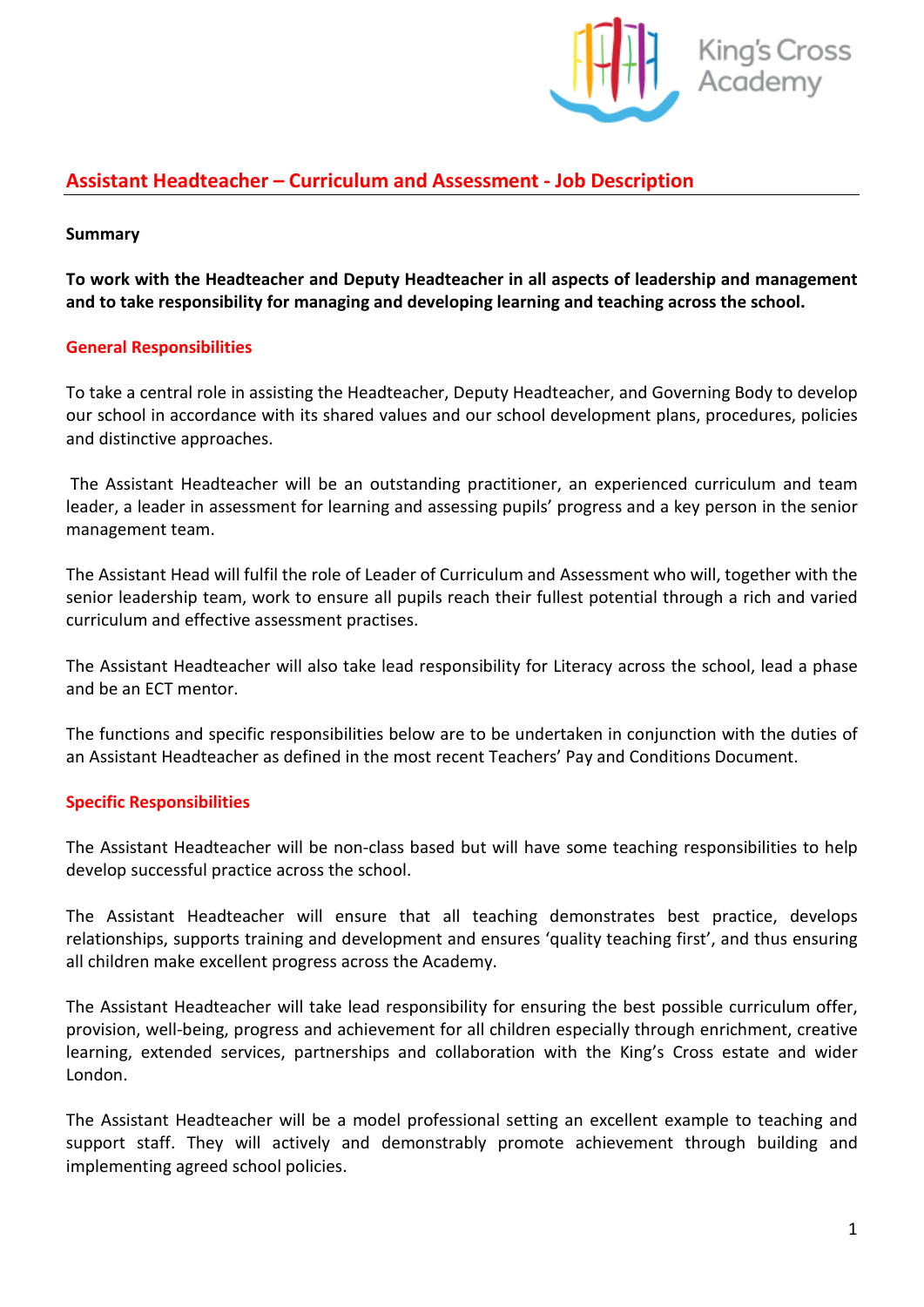

# **Assistant Headteacher – Curriculum and Assessment - Job Description**

#### **Summary**

**To work with the Headteacher and Deputy Headteacher in all aspects of leadership and management and to take responsibility for managing and developing learning and teaching across the school.**

#### **General Responsibilities**

To take a central role in assisting the Headteacher, Deputy Headteacher, and Governing Body to develop our school in accordance with its shared values and our school development plans, procedures, policies and distinctive approaches.

The Assistant Headteacher will be an outstanding practitioner, an experienced curriculum and team leader, a leader in assessment for learning and assessing pupils' progress and a key person in the senior management team.

The Assistant Head will fulfil the role of Leader of Curriculum and Assessment who will, together with the senior leadership team, work to ensure all pupils reach their fullest potential through a rich and varied curriculum and effective assessment practises.

The Assistant Headteacher will also take lead responsibility for Literacy across the school, lead a phase and be an ECT mentor.

The functions and specific responsibilities below are to be undertaken in conjunction with the duties of an Assistant Headteacher as defined in the most recent Teachers' Pay and Conditions Document.

#### **Specific Responsibilities**

The Assistant Headteacher will be non-class based but will have some teaching responsibilities to help develop successful practice across the school.

The Assistant Headteacher will ensure that all teaching demonstrates best practice, develops relationships, supports training and development and ensures 'quality teaching first', and thus ensuring all children make excellent progress across the Academy.

The Assistant Headteacher will take lead responsibility for ensuring the best possible curriculum offer, provision, well-being, progress and achievement for all children especially through enrichment, creative learning, extended services, partnerships and collaboration with the King's Cross estate and wider London.

The Assistant Headteacher will be a model professional setting an excellent example to teaching and support staff. They will actively and demonstrably promote achievement through building and implementing agreed school policies.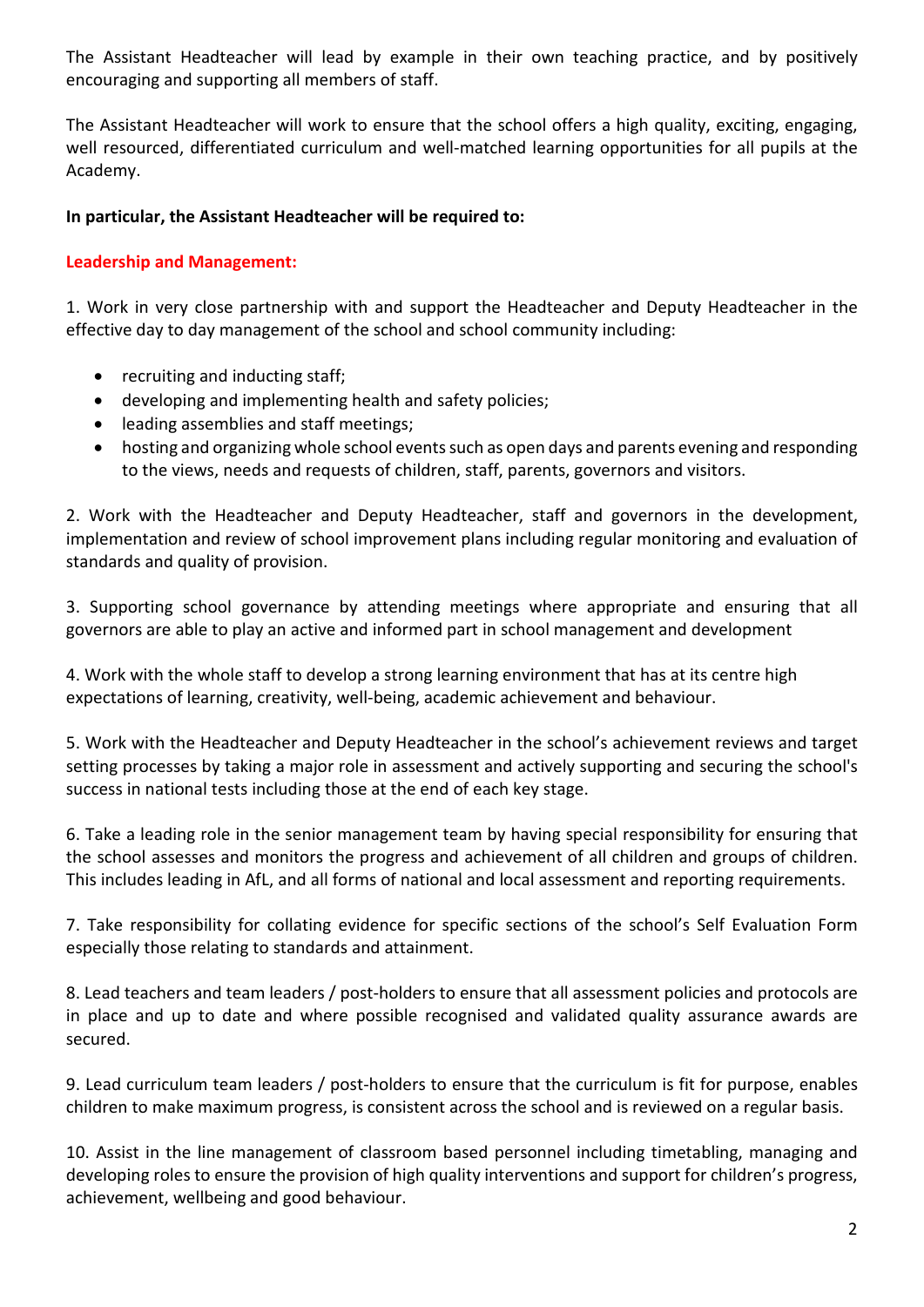The Assistant Headteacher will lead by example in their own teaching practice, and by positively encouraging and supporting all members of staff.

The Assistant Headteacher will work to ensure that the school offers a high quality, exciting, engaging, well resourced, differentiated curriculum and well-matched learning opportunities for all pupils at the Academy.

#### **In particular, the Assistant Headteacher will be required to:**

#### **Leadership and Management:**

1. Work in very close partnership with and support the Headteacher and Deputy Headteacher in the effective day to day management of the school and school community including:

- recruiting and inducting staff;
- developing and implementing health and safety policies;
- leading assemblies and staff meetings;
- hosting and organizing whole school events such as open days and parents evening and responding to the views, needs and requests of children, staff, parents, governors and visitors.

2. Work with the Headteacher and Deputy Headteacher, staff and governors in the development, implementation and review of school improvement plans including regular monitoring and evaluation of standards and quality of provision.

3. Supporting school governance by attending meetings where appropriate and ensuring that all governors are able to play an active and informed part in school management and development

4. Work with the whole staff to develop a strong learning environment that has at its centre high expectations of learning, creativity, well-being, academic achievement and behaviour.

5. Work with the Headteacher and Deputy Headteacher in the school's achievement reviews and target setting processes by taking a major role in assessment and actively supporting and securing the school's success in national tests including those at the end of each key stage.

6. Take a leading role in the senior management team by having special responsibility for ensuring that the school assesses and monitors the progress and achievement of all children and groups of children. This includes leading in AfL, and all forms of national and local assessment and reporting requirements.

7. Take responsibility for collating evidence for specific sections of the school's Self Evaluation Form especially those relating to standards and attainment.

8. Lead teachers and team leaders / post-holders to ensure that all assessment policies and protocols are in place and up to date and where possible recognised and validated quality assurance awards are secured.

9. Lead curriculum team leaders / post-holders to ensure that the curriculum is fit for purpose, enables children to make maximum progress, is consistent across the school and is reviewed on a regular basis.

10. Assist in the line management of classroom based personnel including timetabling, managing and developing roles to ensure the provision of high quality interventions and support for children's progress, achievement, wellbeing and good behaviour.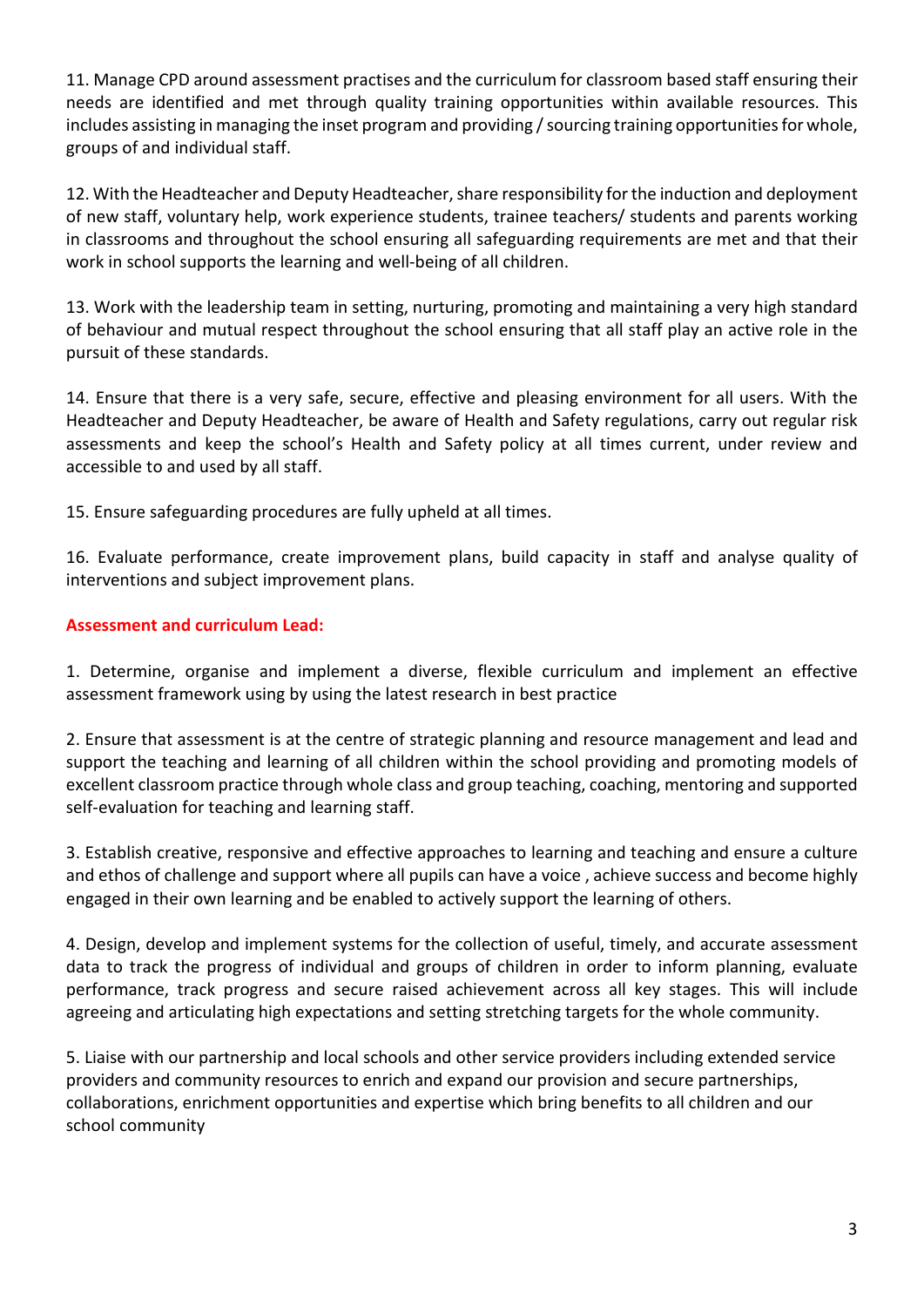11. Manage CPD around assessment practises and the curriculum for classroom based staff ensuring their needs are identified and met through quality training opportunities within available resources. This includes assisting in managing the inset program and providing / sourcing training opportunities for whole, groups of and individual staff.

12. With the Headteacher and Deputy Headteacher, share responsibility for the induction and deployment of new staff, voluntary help, work experience students, trainee teachers/ students and parents working in classrooms and throughout the school ensuring all safeguarding requirements are met and that their work in school supports the learning and well-being of all children.

13. Work with the leadership team in setting, nurturing, promoting and maintaining a very high standard of behaviour and mutual respect throughout the school ensuring that all staff play an active role in the pursuit of these standards.

14. Ensure that there is a very safe, secure, effective and pleasing environment for all users. With the Headteacher and Deputy Headteacher, be aware of Health and Safety regulations, carry out regular risk assessments and keep the school's Health and Safety policy at all times current, under review and accessible to and used by all staff.

15. Ensure safeguarding procedures are fully upheld at all times.

16. Evaluate performance, create improvement plans, build capacity in staff and analyse quality of interventions and subject improvement plans.

## **Assessment and curriculum Lead:**

1. Determine, organise and implement a diverse, flexible curriculum and implement an effective assessment framework using by using the latest research in best practice

2. Ensure that assessment is at the centre of strategic planning and resource management and lead and support the teaching and learning of all children within the school providing and promoting models of excellent classroom practice through whole class and group teaching, coaching, mentoring and supported self-evaluation for teaching and learning staff.

3. Establish creative, responsive and effective approaches to learning and teaching and ensure a culture and ethos of challenge and support where all pupils can have a voice , achieve success and become highly engaged in their own learning and be enabled to actively support the learning of others.

4. Design, develop and implement systems for the collection of useful, timely, and accurate assessment data to track the progress of individual and groups of children in order to inform planning, evaluate performance, track progress and secure raised achievement across all key stages. This will include agreeing and articulating high expectations and setting stretching targets for the whole community.

5. Liaise with our partnership and local schools and other service providers including extended service providers and community resources to enrich and expand our provision and secure partnerships, collaborations, enrichment opportunities and expertise which bring benefits to all children and our school community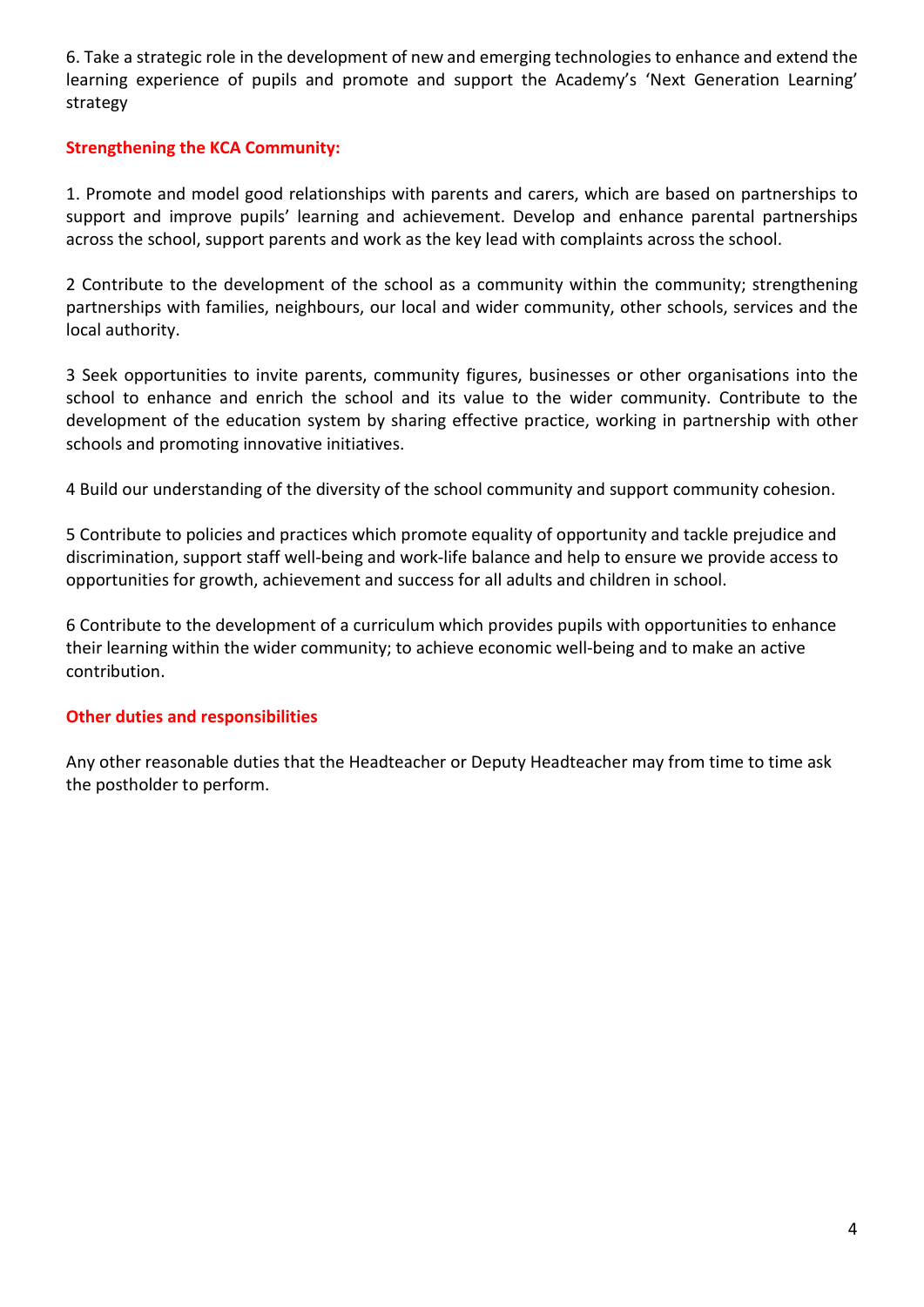6. Take a strategic role in the development of new and emerging technologies to enhance and extend the learning experience of pupils and promote and support the Academy's 'Next Generation Learning' strategy

### **Strengthening the KCA Community:**

1. Promote and model good relationships with parents and carers, which are based on partnerships to support and improve pupils' learning and achievement. Develop and enhance parental partnerships across the school, support parents and work as the key lead with complaints across the school.

2 Contribute to the development of the school as a community within the community; strengthening partnerships with families, neighbours, our local and wider community, other schools, services and the local authority.

3 Seek opportunities to invite parents, community figures, businesses or other organisations into the school to enhance and enrich the school and its value to the wider community. Contribute to the development of the education system by sharing effective practice, working in partnership with other schools and promoting innovative initiatives.

4 Build our understanding of the diversity of the school community and support community cohesion.

5 Contribute to policies and practices which promote equality of opportunity and tackle prejudice and discrimination, support staff well-being and work-life balance and help to ensure we provide access to opportunities for growth, achievement and success for all adults and children in school.

6 Contribute to the development of a curriculum which provides pupils with opportunities to enhance their learning within the wider community; to achieve economic well-being and to make an active contribution.

### **Other duties and responsibilities**

Any other reasonable duties that the Headteacher or Deputy Headteacher may from time to time ask the postholder to perform.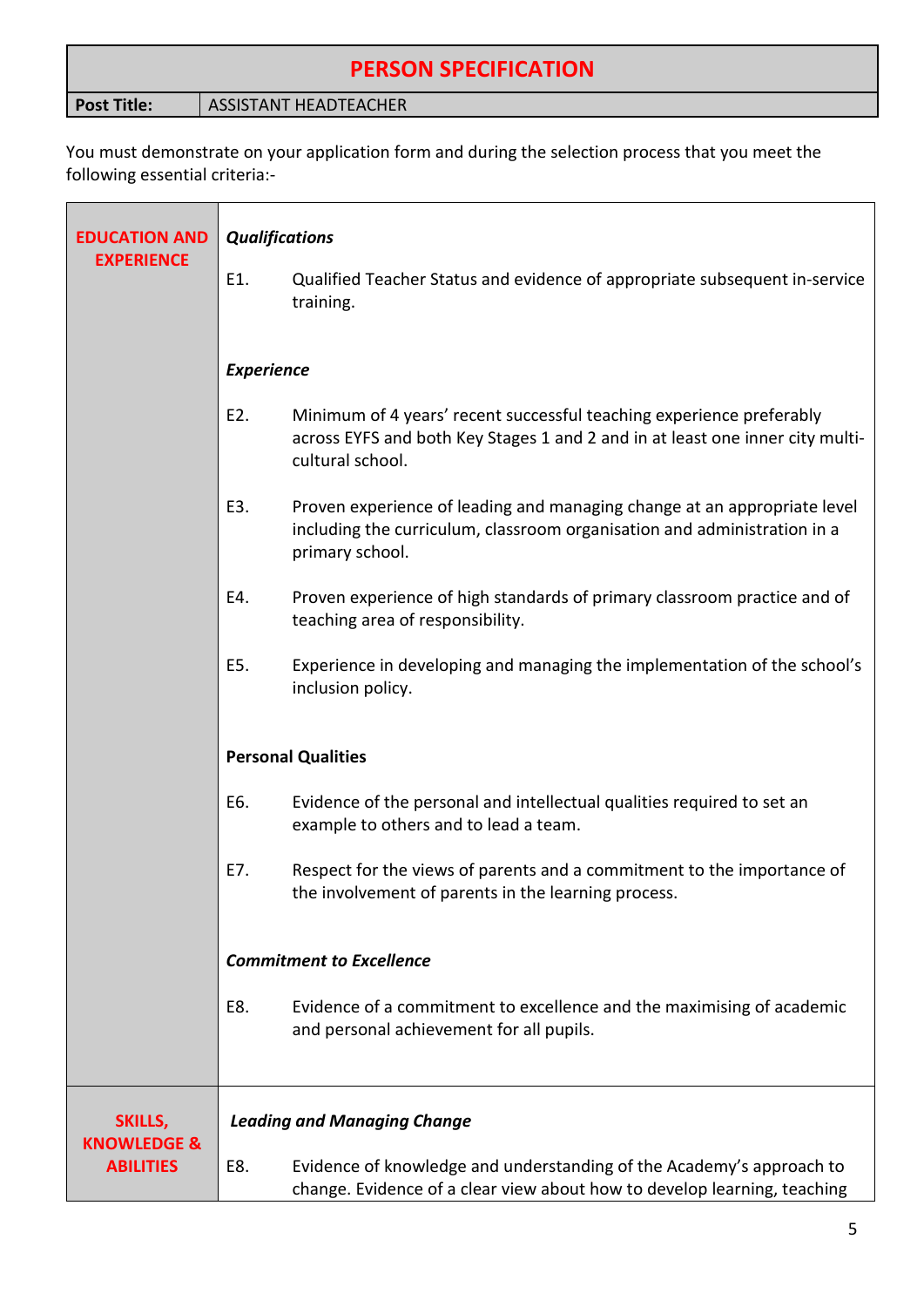# **PERSON SPECIFICATION**

**Post Title:** ASSISTANT HEADTEACHER

You must demonstrate on your application form and during the selection process that you meet the following essential criteria:-

| <b>EDUCATION AND</b>                       | <b>Qualifications</b>              |                                                                                                                                                                           |  |
|--------------------------------------------|------------------------------------|---------------------------------------------------------------------------------------------------------------------------------------------------------------------------|--|
| <b>EXPERIENCE</b>                          | E1.                                | Qualified Teacher Status and evidence of appropriate subsequent in-service<br>training.                                                                                   |  |
|                                            | <b>Experience</b>                  |                                                                                                                                                                           |  |
|                                            | E2.                                | Minimum of 4 years' recent successful teaching experience preferably<br>across EYFS and both Key Stages 1 and 2 and in at least one inner city multi-<br>cultural school. |  |
|                                            | E3.                                | Proven experience of leading and managing change at an appropriate level<br>including the curriculum, classroom organisation and administration in a<br>primary school.   |  |
|                                            | E4.                                | Proven experience of high standards of primary classroom practice and of<br>teaching area of responsibility.                                                              |  |
|                                            | E5.                                | Experience in developing and managing the implementation of the school's<br>inclusion policy.                                                                             |  |
|                                            | <b>Personal Qualities</b>          |                                                                                                                                                                           |  |
|                                            | E6.                                | Evidence of the personal and intellectual qualities required to set an<br>example to others and to lead a team.                                                           |  |
|                                            | E7.                                | Respect for the views of parents and a commitment to the importance of<br>the involvement of parents in the learning process.                                             |  |
|                                            | <b>Commitment to Excellence</b>    |                                                                                                                                                                           |  |
|                                            | E8.                                | Evidence of a commitment to excellence and the maximising of academic<br>and personal achievement for all pupils.                                                         |  |
| SKILLS,                                    | <b>Leading and Managing Change</b> |                                                                                                                                                                           |  |
| <b>KNOWLEDGE &amp;</b><br><b>ABILITIES</b> | E8.                                | Evidence of knowledge and understanding of the Academy's approach to<br>change. Evidence of a clear view about how to develop learning, teaching                          |  |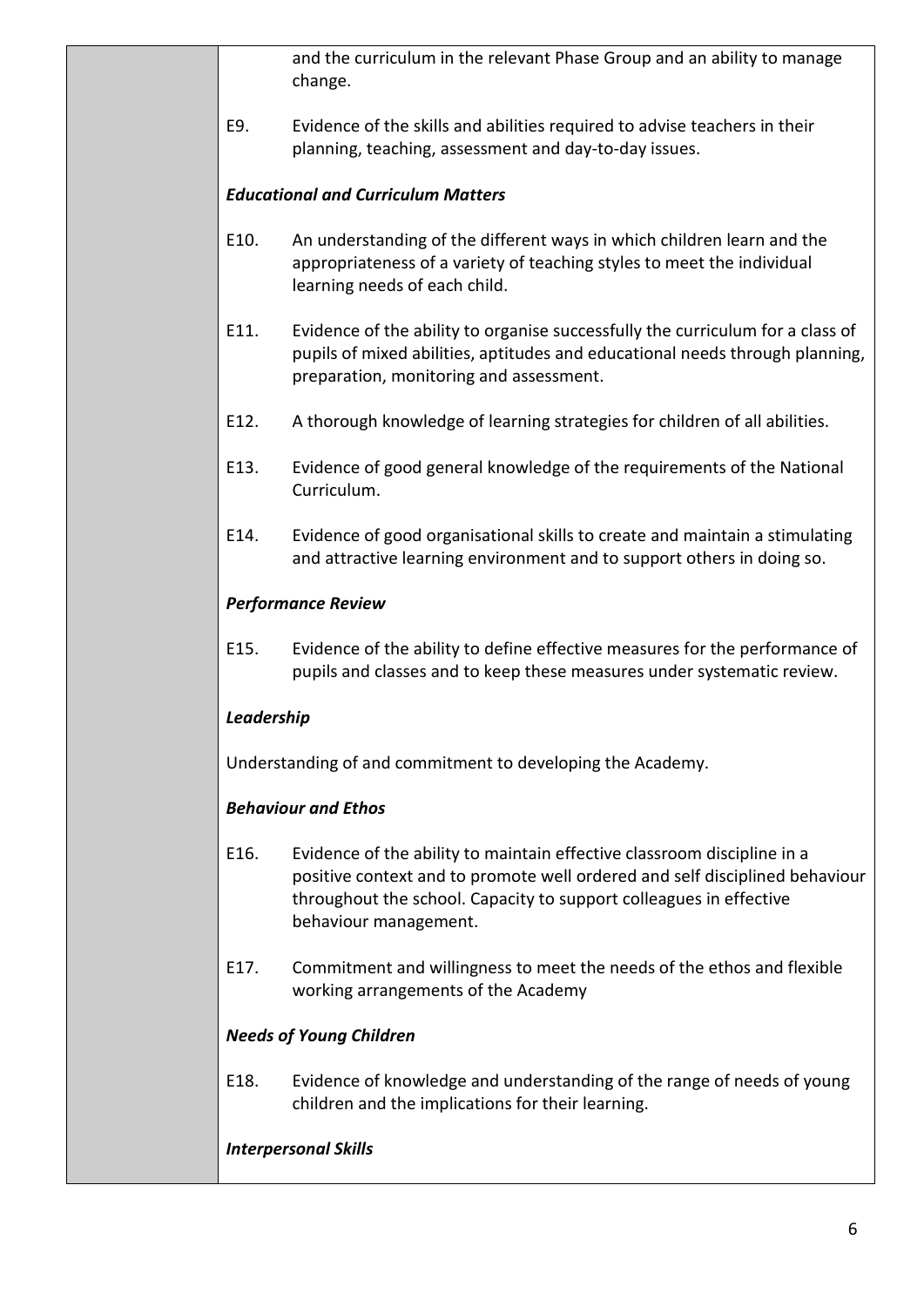and the curriculum in the relevant Phase Group and an ability to manage change.

E9. Evidence of the skills and abilities required to advise teachers in their planning, teaching, assessment and day-to-day issues.

## *Educational and Curriculum Matters*

- E10. An understanding of the different ways in which children learn and the appropriateness of a variety of teaching styles to meet the individual learning needs of each child.
- E11. Evidence of the ability to organise successfully the curriculum for a class of pupils of mixed abilities, aptitudes and educational needs through planning, preparation, monitoring and assessment.
- E12. A thorough knowledge of learning strategies for children of all abilities.
- E13. Evidence of good general knowledge of the requirements of the National Curriculum.
- E14. Evidence of good organisational skills to create and maintain a stimulating and attractive learning environment and to support others in doing so.

## *Performance Review*

E15. Evidence of the ability to define effective measures for the performance of pupils and classes and to keep these measures under systematic review.

# *Leadership*

Understanding of and commitment to developing the Academy.

# *Behaviour and Ethos*

- E16. Evidence of the ability to maintain effective classroom discipline in a positive context and to promote well ordered and self disciplined behaviour throughout the school. Capacity to support colleagues in effective behaviour management.
- E17. Commitment and willingness to meet the needs of the ethos and flexible working arrangements of the Academy

# *Needs of Young Children*

E18. Evidence of knowledge and understanding of the range of needs of young children and the implications for their learning.

# *Interpersonal Skills*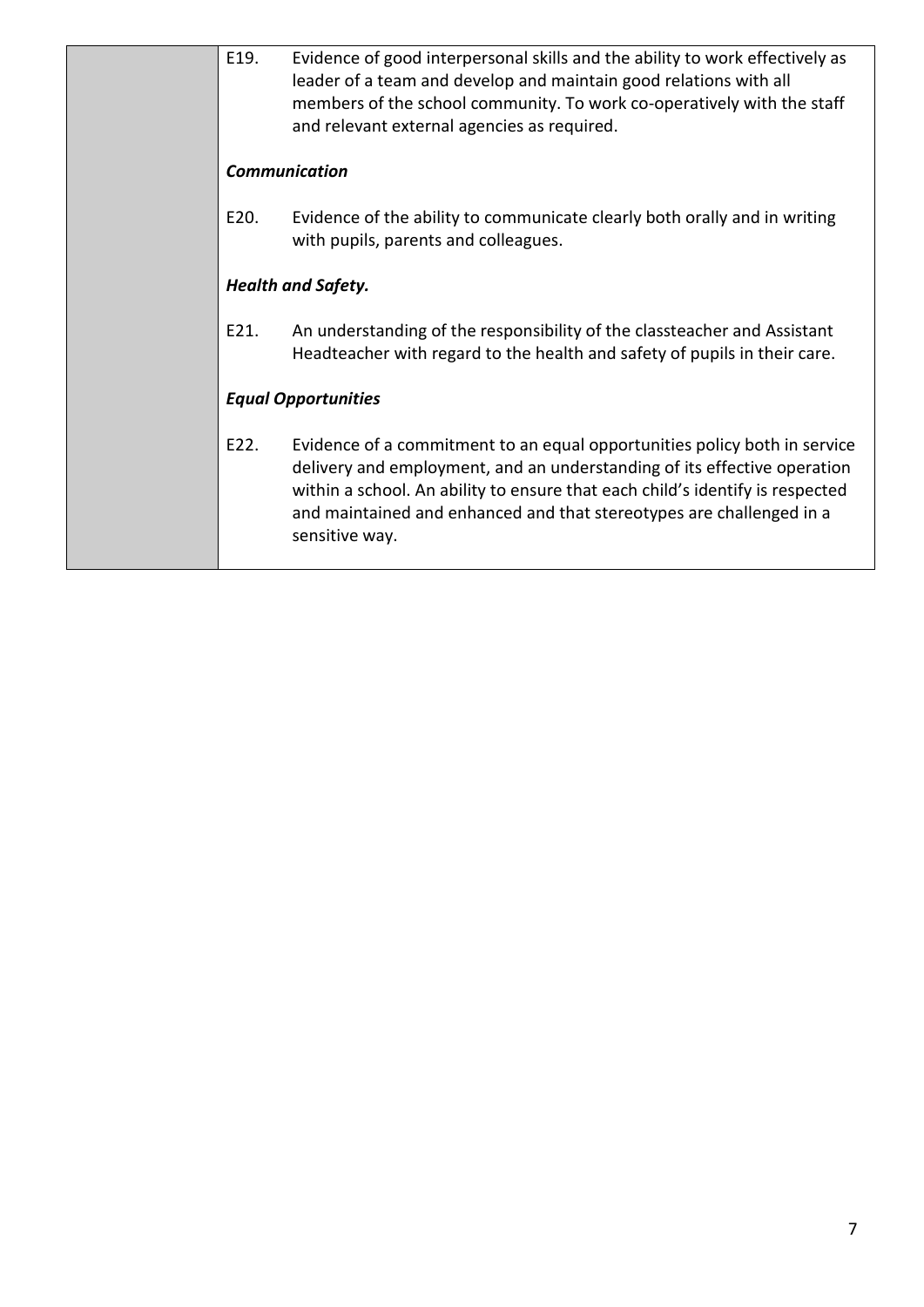| <b>Communication</b><br>E20.<br>Evidence of the ability to communicate clearly both orally and in writing<br>with pupils, parents and colleagues.<br>Health and Safety.<br>An understanding of the responsibility of the classteacher and Assistant<br>E21.<br>Headteacher with regard to the health and safety of pupils in their care.<br><b>Equal Opportunities</b> |  |  |  |  |
|------------------------------------------------------------------------------------------------------------------------------------------------------------------------------------------------------------------------------------------------------------------------------------------------------------------------------------------------------------------------|--|--|--|--|
|                                                                                                                                                                                                                                                                                                                                                                        |  |  |  |  |
|                                                                                                                                                                                                                                                                                                                                                                        |  |  |  |  |
|                                                                                                                                                                                                                                                                                                                                                                        |  |  |  |  |
|                                                                                                                                                                                                                                                                                                                                                                        |  |  |  |  |
|                                                                                                                                                                                                                                                                                                                                                                        |  |  |  |  |
| E22.<br>Evidence of a commitment to an equal opportunities policy both in service<br>delivery and employment, and an understanding of its effective operation<br>within a school. An ability to ensure that each child's identify is respected<br>and maintained and enhanced and that stereotypes are challenged in a<br>sensitive way.                               |  |  |  |  |